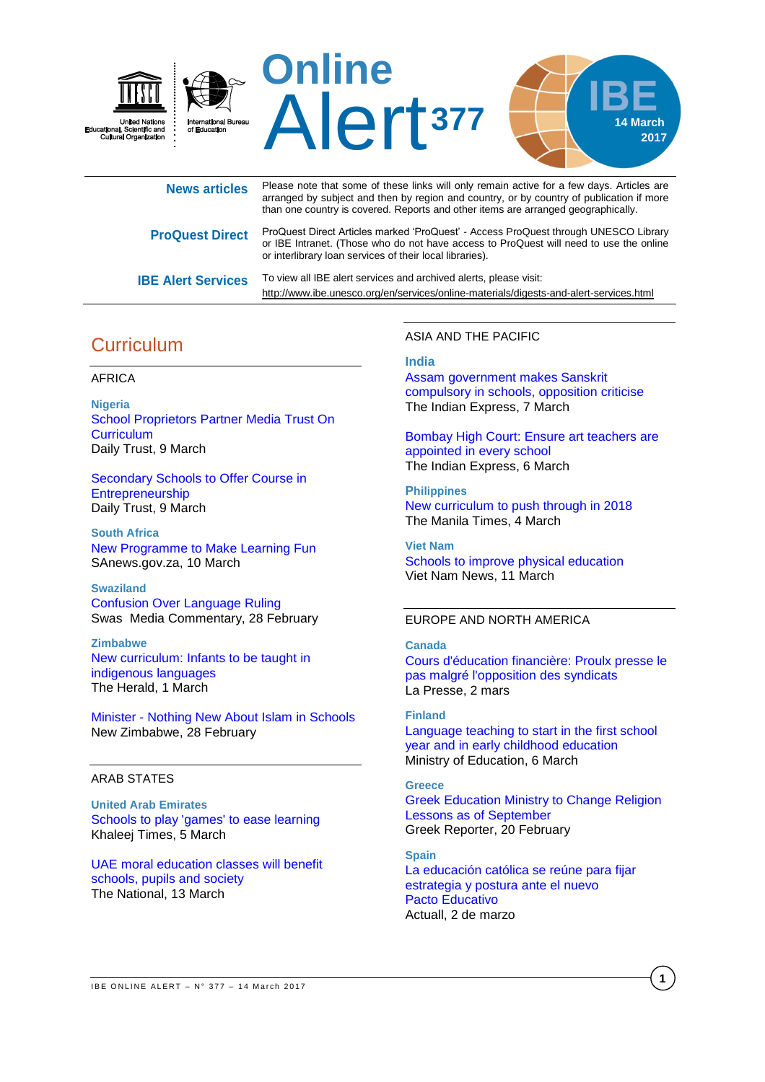

| <b>News articles</b>      | Please note that some of these links will only remain active for a few days. Articles are<br>arranged by subject and then by region and country, or by country of publication if more<br>than one country is covered. Reports and other items are arranged geographically. |
|---------------------------|----------------------------------------------------------------------------------------------------------------------------------------------------------------------------------------------------------------------------------------------------------------------------|
| <b>ProQuest Direct</b>    | ProQuest Direct Articles marked 'ProQuest' - Access ProQuest through UNESCO Library<br>or IBE Intranet. (Those who do not have access to ProQuest will need to use the online<br>or interlibrary loan services of their local libraries).                                  |
| <b>IBE Alert Services</b> | To view all IBE alert services and archived alerts, please visit:<br>http://www.ibe.unesco.org/en/services/online-materials/digests-and-alert-services.html                                                                                                                |

# **Curriculum**

### AFRICA

**Nigeria** [School Proprietors Partner Media Trust On](http://allafrica.com/stories/201703090309.html)  **[Curriculum](http://allafrica.com/stories/201703090309.html)** Daily Trust, 9 March

[Secondary Schools to Offer Course in](http://allafrica.com/stories/201703090576.html)  [Entrepreneurship](http://allafrica.com/stories/201703090576.html) Daily Trust, 9 March

**South Africa** New Programme [to Make Learning Fun](http://allafrica.com/stories/201703100556.html) SAnews.gov.za, 10 March

**Swaziland** [Confusion Over Language Ruling](http://allafrica.com/stories/201702280535.html) Swas Media Commentary, 28 February

**Zimbabwe** New [curriculum: Infants to be taught in](http://www.herald.co.zw/new-curriculum-infants-to-be-taught-in-indigenous-languages/)  [indigenous languages](http://www.herald.co.zw/new-curriculum-infants-to-be-taught-in-indigenous-languages/) The Herald, 1 March

Minister - [Nothing New About Islam in Schools](http://allafrica.com/stories/201703010092.html) New Zimbabwe, 28 February

### ARAB STATES

**United Arab Emirates** [Schools to play 'games' to ease learning](http://www.khaleejtimes.com/news/education/schools-to-play-games-to-ease-learning) Khaleej Times, 5 March

[UAE moral education classes will benefit](http://www.thenational.ae/uae/uae-moral-education-classes-will-benefit-schools-pupils-and-society)  [schools, pupils and society](http://www.thenational.ae/uae/uae-moral-education-classes-will-benefit-schools-pupils-and-society) The National, 13 March

ASIA AND THE PACIFIC

### **India**

[Assam government makes Sanskrit](http://indianexpress.com/article/education/assam-government-makes-sanskrit-compulsory-in-schools-opposition-criticise-4552164/)  [compulsory in schools, opposition](http://indianexpress.com/article/education/assam-government-makes-sanskrit-compulsory-in-schools-opposition-criticise-4552164/) criticise The Indian Express, 7 March

[Bombay High Court: Ensure art teachers are](http://indianexpress.com/article/education/bombay-high-court-ensure-art-teachers-are-appointed-in-every-school/)  [appointed in every](http://indianexpress.com/article/education/bombay-high-court-ensure-art-teachers-are-appointed-in-every-school/) school The Indian Express, 6 March

**Philippines** New curriculum [to push through in 2018](https://www.google.com/url?rct=j&sa=t&url=http://www.manilatimes.net/new-curriculum-push-2018/315405/&ct=ga&cd=CAEYASoUMTcyMjU0MTQ5MjYwNzY5NDgwNjIyGTFiZTUwNmE0MGQzN2NjZDQ6Y2g6ZW46Q0g&usg=AFQjCNHip8khn3HakDSBdqsvk32YdBeprQ) The Manila Times, 4 March

**Viet Nam** [Schools to improve physical education](http://vietnamnews.vn/society/372646/schools-to-improve-physical-education.html#em0Qlfl7TvY8S2xP.97) Viet Nam News, 11 March

### EUROPE AND NORTH AMERICA

### **Canada**

[Cours d'éducation financière:](http://www.lapresse.ca/actualites/education/201703/02/01-5074850-cours-deducation-financiere-proulx-presse-le-pas-malgre-lopposition-des-syndicats.php) Proulx presse le [pas malgré l'opposition des syndicats](http://www.lapresse.ca/actualites/education/201703/02/01-5074850-cours-deducation-financiere-proulx-presse-le-pas-malgre-lopposition-des-syndicats.php) La Presse, 2 mars

**Finland** [Language teaching to start in the first school](http://minedu.fi/en/article/-/asset_publisher/kieltenopetus-alkamaan-jo-ensimmaiselta-luokalta-ja-varhaiskasvatuksesta-nelja-miljoonaa-avustuksia-kunnille)  [year and in early childhood education](http://minedu.fi/en/article/-/asset_publisher/kieltenopetus-alkamaan-jo-ensimmaiselta-luokalta-ja-varhaiskasvatuksesta-nelja-miljoonaa-avustuksia-kunnille) Ministry of Education, 6 March

### **Greece** [Greek Education Ministry to Change Religion](http://greece.greekreporter.com/2017/02/20/greek-education-ministry-to-change-religion-lessons-as-of-september/)  [Lessons as of September](http://greece.greekreporter.com/2017/02/20/greek-education-ministry-to-change-religion-lessons-as-of-september/)  Greek Reporter, 20 February

**Spain** La educación [católica se reúne para fijar](http://www.actuall.com/educacion/la-educacion-catolica-se-reune-fijar-estrategia-postura-ante-nuevo-pacto-educativo/)  [estrategia y postura ante el nuevo](http://www.actuall.com/educacion/la-educacion-catolica-se-reune-fijar-estrategia-postura-ante-nuevo-pacto-educativo/)  Pacto [Educativo](http://www.actuall.com/educacion/la-educacion-catolica-se-reune-fijar-estrategia-postura-ante-nuevo-pacto-educativo/) Actuall, 2 de marzo

**1**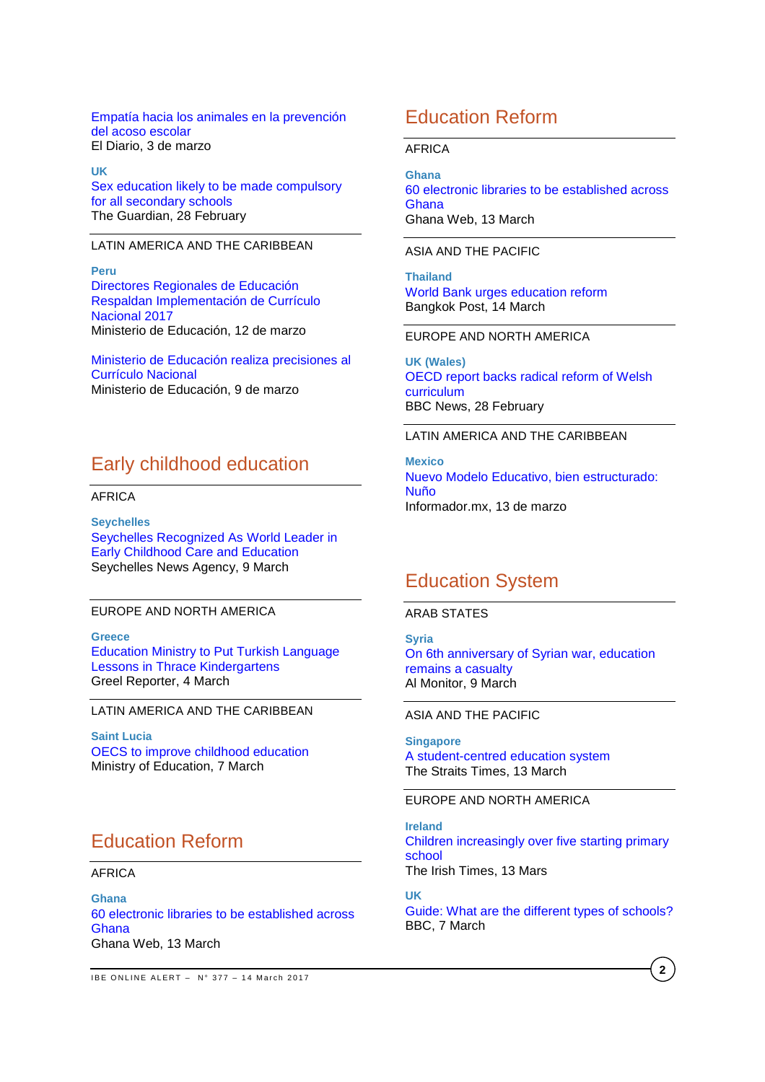[Empatía hacia los animales en la prevención](http://www.eldiario.es/caballodenietzsche/Empatia-animales-prevencion-acoso-escolar_6_618098214.html)  [del acoso escolar](http://www.eldiario.es/caballodenietzsche/Empatia-animales-prevencion-acoso-escolar_6_618098214.html) El Diario, 3 de marzo

**UK**  Sex education [likely to be made compulsory](https://www.theguardian.com/education/2017/feb/28/sex-education-likely-to-be-made-compulsory-for-all-secondary-schools)  [for all secondary schools](https://www.theguardian.com/education/2017/feb/28/sex-education-likely-to-be-made-compulsory-for-all-secondary-schools) The Guardian, 28 February

LATIN AMERICA AND THE CARIBBEAN

**Peru** [Directores Regionales de Educación](http://www.minedu.gob.pe/n/noticia.php?id=42038)  [Respaldan Implementación de Currículo](http://www.minedu.gob.pe/n/noticia.php?id=42038)  [Nacional 2017](http://www.minedu.gob.pe/n/noticia.php?id=42038) Ministerio de Educación, 12 de marzo

[Ministerio de Educación realiza precisiones al](http://www.minedu.gob.pe/n/noticia.php?id=42020)  [Currículo Nacional](http://www.minedu.gob.pe/n/noticia.php?id=42020) Ministerio de Educación, 9 de marzo

# Early childhood education

### AFRICA

**Seychelles** [Seychelles Recognized As World Leader in](http://allafrica.com/stories/201703091121.html)  [Early Childhood Care and Education](http://allafrica.com/stories/201703091121.html) Seychelles News Agency, 9 March

### EUROPE AND NORTH AMERICA

### **Greece**

[Education Ministry to Put Turkish Language](http://greece.greekreporter.com/2017/03/04/education-ministry-to-put-turkish-language-lessons-in-thrace-kindergartens/)  [Lessons in Thrace Kindergartens](http://greece.greekreporter.com/2017/03/04/education-ministry-to-put-turkish-language-lessons-in-thrace-kindergartens/)  Greel Reporter, 4 March

### LATIN AMERICA AND THE CARIBBEAN

**Saint Lucia** [OECS to improve childhood education](http://education.govt.lc/news/oecs-to-improve-childhood-education) Ministry of Education, 7 March

# Education Reform

### AFRICA

**Ghana** [60 electronic libraries to be established across](http://www.ghanaweb.com/GhanaHomePage/NewsArchive/60-electronic-libraries-to-be-established-across-Ghana-518377)  **[Ghana](http://www.ghanaweb.com/GhanaHomePage/NewsArchive/60-electronic-libraries-to-be-established-across-Ghana-518377)** Ghana Web, 13 March

# Education Reform

### AFRICA

**Ghana**

[60 electronic libraries to be established across](http://www.ghanaweb.com/GhanaHomePage/NewsArchive/60-electronic-libraries-to-be-established-across-Ghana-518377)  [Ghana](http://www.ghanaweb.com/GhanaHomePage/NewsArchive/60-electronic-libraries-to-be-established-across-Ghana-518377) Ghana Web, 13 March

ASIA AND THE PACIFIC

**Thailand** [World Bank urges education reform](http://www.bangkokpost.com/business/news/1214225/world-bank-urges-education-reform) Bangkok Post, 14 March

EUROPE AND NORTH AMERICA

**UK (Wales)** [OECD report backs radical reform of Welsh](http://www.bbc.com/news/uk-wales-39105175)  [curriculum](http://www.bbc.com/news/uk-wales-39105175) BBC News, 28 February

LATIN AMERICA AND THE CARIBBEAN

**Mexico** [Nuevo Modelo Educativo, bien estructurado:](http://www.informador.com.mx/mexico/2017/711639/6/nuevo-modelo-educativo-bien-estructurado-nuno.htm)  [Nuño](http://www.informador.com.mx/mexico/2017/711639/6/nuevo-modelo-educativo-bien-estructurado-nuno.htm) Informador.mx, 13 de marzo

# Education System

### ARAB STATES

**Syria** [On 6th anniversary of Syrian war, education](http://www.al-monitor.com/pulse/originals/2017/03/syria-education-status-war-minister-interview.html) 

[remains a casualty](http://www.al-monitor.com/pulse/originals/2017/03/syria-education-status-war-minister-interview.html) Al Monitor, 9 March

### ASIA AND THE PACIFIC

**Singapore** [A student-centred education system](http://www.straitstimes.com/opinion/st-editorial/a-student-centred-education-system) The Straits Times, 13 March

## EUROPE AND NORTH AMERICA

**Ireland** [Children increasingly over five starting primary](http://www.irishtimes.com/news/education/children-increasingly-over-five-starting-primary-school-1.3007567)  [school](http://www.irishtimes.com/news/education/children-increasingly-over-five-starting-primary-school-1.3007567) The Irish Times, 13 Mars

**UK** [Guide: What are the different types of schools?](http://www.bbc.co.uk/newsround/37696598) BBC, 7 March

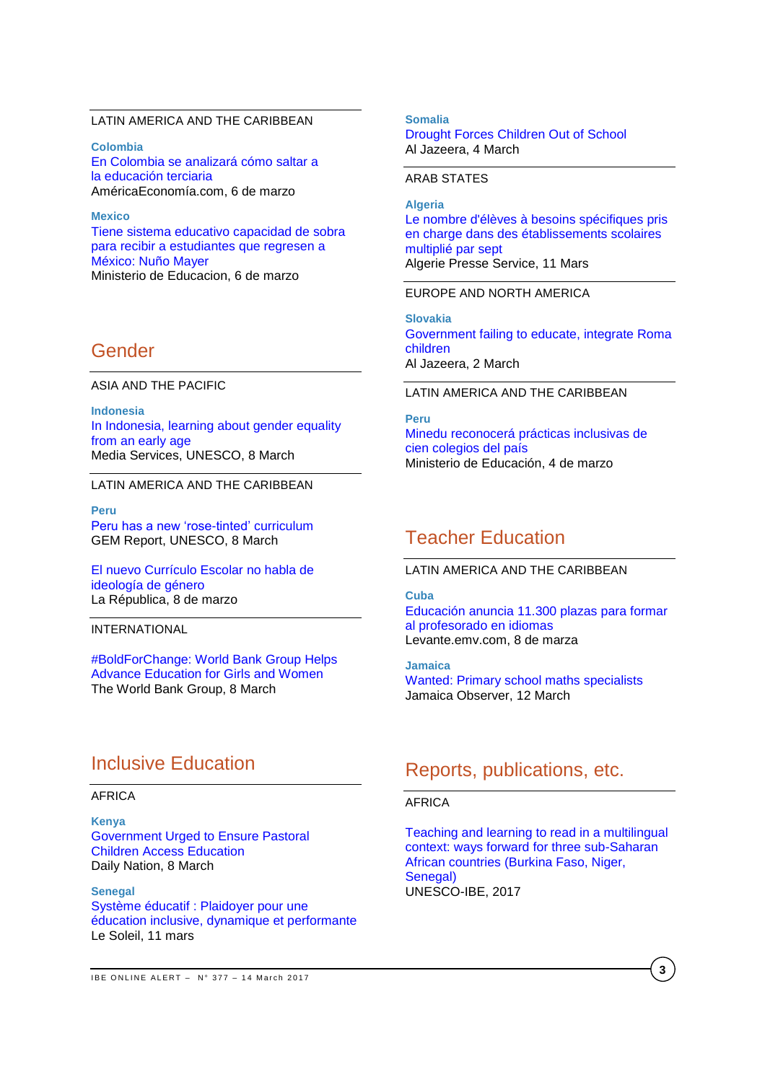### LATIN AMERICA AND THE CARIBBEAN

**Colombia** [En Colombia se analizará cómo saltar a](http://mba.americaeconomia.com/articulos/notas/en-colombia-se-analizara-como-saltar-la-educacion-terciaria)  la [educación](http://mba.americaeconomia.com/articulos/notas/en-colombia-se-analizara-como-saltar-la-educacion-terciaria) terciaria AméricaEconomía.com, 6 de marzo

**Mexico** [Tiene sistema educativo capacidad de sobra](http://www.gob.mx/sep/prensa/comunicado-66-tiene-sistema-educativo-capacidad-de-sobra-para-recibir-a-estudiantes-que-regresen-a-mexico-nuno-mayer?idiom=es)  [para recibir a estudiantes que regresen a](http://www.gob.mx/sep/prensa/comunicado-66-tiene-sistema-educativo-capacidad-de-sobra-para-recibir-a-estudiantes-que-regresen-a-mexico-nuno-mayer?idiom=es)  [México: Nuño Mayer](http://www.gob.mx/sep/prensa/comunicado-66-tiene-sistema-educativo-capacidad-de-sobra-para-recibir-a-estudiantes-que-regresen-a-mexico-nuno-mayer?idiom=es) Ministerio de Educacion, 6 de marzo

# Gender

ASIA AND THE PACIFIC

**Indonesia** [In Indonesia, learning about gender equality](http://www.unesco.org/new/en/media-services/single-view/news/in_indonesia_learning_about_gender_equality_from_an_early_a/)  [from an early age](http://www.unesco.org/new/en/media-services/single-view/news/in_indonesia_learning_about_gender_equality_from_an_early_a/) Media Services, UNESCO, 8 March

### LATIN AMERICA AND THE CARIBBEAN

**Peru** [Peru has a new 'rose-tinted'](https://gemreportunesco.wordpress.com/2017/03/08/peru-has-a-new-rose-tinted-curriculum/) curriculum GEM Report, UNESCO, 8 March

[El nuevo Currículo Escolar no habla de](http://larepublica.pe/impresa/politica/854518-el-nuevo-curriculo-escolar-no-habla-de-ideologia-de-genero)  [ideología de género](http://larepublica.pe/impresa/politica/854518-el-nuevo-curriculo-escolar-no-habla-de-ideologia-de-genero) La Républica, 8 de marzo

INTERNATIONAL

[#BoldForChange: World Bank Group Helps](http://www.worldbank.org/en/news/feature/2017/03/08/boldforchange-wbg-helps-advance-education-for-girls-and-women)  [Advance Education for Girls and Women](http://www.worldbank.org/en/news/feature/2017/03/08/boldforchange-wbg-helps-advance-education-for-girls-and-women) The World Bank Group, 8 March

# Inclusive Education

## AFRICA

**Kenya** [Government Urged to Ensure Pastoral](http://allafrica.com/stories/201703080255.html)  [Children Access Education](http://allafrica.com/stories/201703080255.html) Daily Nation, 8 March

**Senegal** [Système éducatif : Plaidoyer pour une](http://www.lesoleil.sn/actualites/item/62455-systeme-educatif-plaidoyer-pour-une-education-inclusive-dynamique-et-performante.html)  [éducation inclusive, dynamique et performante](http://www.lesoleil.sn/actualites/item/62455-systeme-educatif-plaidoyer-pour-une-education-inclusive-dynamique-et-performante.html) Le Soleil, 11 mars

#### **Somalia**

[Drought Forces Children Out of School](http://allafrica.com/stories/201703050010.html) Al Jazeera, 4 March

### ARAB STATES

**Algeria** [Le nombre d'élèves à besoins spécifiques pris](http://fr.allafrica.com/stories/201703120160.html)  [en charge dans des établissements scolaires](http://fr.allafrica.com/stories/201703120160.html)  [multiplié par sept](http://fr.allafrica.com/stories/201703120160.html) Algerie Presse Service, 11 Mars

### EUROPE AND NORTH AMERICA

**Slovakia** [Government failing to educate, integrate Roma](http://www.aljazeera.com/news/2017/03/government-failing-educate-integrate-roma-children-170301171600351.html)  [children](http://www.aljazeera.com/news/2017/03/government-failing-educate-integrate-roma-children-170301171600351.html) Al Jazeera, 2 March

### LATIN AMERICA AND THE CARIBBEAN

**Peru** [Minedu reconocerá prácticas inclusivas de](http://www.minedu.gob.pe/n/noticia.php?id=41970)  [cien colegios del país](http://www.minedu.gob.pe/n/noticia.php?id=41970) Ministerio de Educación, 4 de marzo

# Teacher Education

## LATIN AMERICA AND THE CARIBBEAN

**Cuba**

Educación [anuncia 11.300 plazas para formar](http://www.levante-emv.com/comunitat-valenciana/2017/03/08/educacion-anuncia-11300-plazas-formar/1538459.html)  [al profesorado en idiomas](http://www.levante-emv.com/comunitat-valenciana/2017/03/08/educacion-anuncia-11300-plazas-formar/1538459.html) Levante.emv.com, 8 de marza

**Jamaica** [Wanted: Primary school maths specialists](http://www.jamaicaobserver.com/magazines/career/Wanted--Primary-school-maths-specialists_91841) Jamaica Observer, 12 March

# Reports, publications, etc.

## AFRICA

[Teaching and learning to read in a multilingual](http://unesdoc.unesco.org/images/0024/002475/247533e.pdf)  [context: ways forward for three sub-Saharan](http://unesdoc.unesco.org/images/0024/002475/247533e.pdf)  [African countries \(Burkina Faso, Niger,](http://unesdoc.unesco.org/images/0024/002475/247533e.pdf)  [Senegal\)](http://unesdoc.unesco.org/images/0024/002475/247533e.pdf) UNESCO-IBE, 2017

**3**